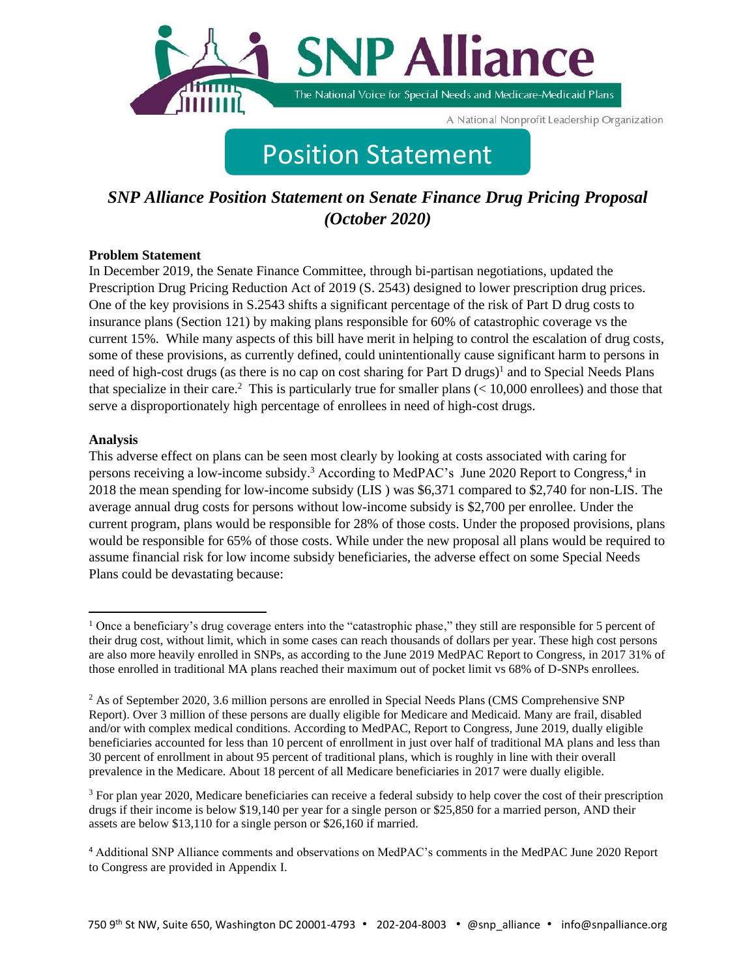

A National Nonprofit Leadership Organization

# Position Statement

## *SNP Alliance Position Statement on Senate Finance Drug Pricing Proposal (October 2020)*

#### **Problem Statement**

In December 2019, the Senate Finance Committee, through bi-partisan negotiations, updated the Prescription Drug Pricing Reduction Act of 2019 (S. 2543) designed to lower prescription drug prices. One of the key provisions in S.2543 shifts a significant percentage of the risk of Part D drug costs to insurance plans (Section 121) by making plans responsible for 60% of catastrophic coverage vs the current 15%. While many aspects of this bill have merit in helping to control the escalation of drug costs, some of these provisions, as currently defined, could unintentionally cause significant harm to persons in need of high-cost drugs (as there is no cap on cost sharing for Part D drugs)<sup>1</sup> and to Special Needs Plans that specialize in their care.<sup>2</sup> This is particularly true for smaller plans  $(< 10,000$  enrollees) and those that serve a disproportionately high percentage of enrollees in need of high-cost drugs.

#### **Analysis**

This adverse effect on plans can be seen most clearly by looking at costs associated with caring for persons receiving a low-income subsidy.<sup>3</sup> According to MedPAC's June 2020 Report to Congress,<sup>4</sup> in 2018 the mean spending for low-income subsidy (LIS ) was \$6,371 compared to \$2,740 for non-LIS. The average annual drug costs for persons without low-income subsidy is \$2,700 per enrollee. Under the current program, plans would be responsible for 28% of those costs. Under the proposed provisions, plans would be responsible for 65% of those costs. While under the new proposal all plans would be required to assume financial risk for low income subsidy beneficiaries, the adverse effect on some Special Needs Plans could be devastating because:

<sup>&</sup>lt;sup>1</sup> Once a beneficiary's drug coverage enters into the "catastrophic phase," they still are responsible for 5 percent of their drug cost, without limit, which in some cases can reach thousands of dollars per year. These high cost persons are also more heavily enrolled in SNPs, as according to the June 2019 MedPAC Report to Congress, in 2017 31% of those enrolled in traditional MA plans reached their maximum out of pocket limit vs 68% of D-SNPs enrollees.

<sup>&</sup>lt;sup>2</sup> As of September 2020, 3.6 million persons are enrolled in Special Needs Plans (CMS Comprehensive SNP Report). Over 3 million of these persons are dually eligible for Medicare and Medicaid. Many are frail, disabled and/or with complex medical conditions. According to MedPAC, Report to Congress, June 2019, dually eligible beneficiaries accounted for less than 10 percent of enrollment in just over half of traditional MA plans and less than 30 percent of enrollment in about 95 percent of traditional plans, which is roughly in line with their overall prevalence in the Medicare. About 18 percent of all Medicare beneficiaries in 2017 were dually eligible.

<sup>&</sup>lt;sup>3</sup> For plan year 2020, Medicare beneficiaries can receive a federal subsidy to help cover the cost of their prescription drugs if their income is below \$19,140 per year for a single person or \$25,850 for a married person, AND their assets are below \$13,110 for a single person or \$26,160 if married.

<sup>4</sup> Additional SNP Alliance comments and observations on MedPAC's comments in the MedPAC June 2020 Report to Congress are provided in Appendix I.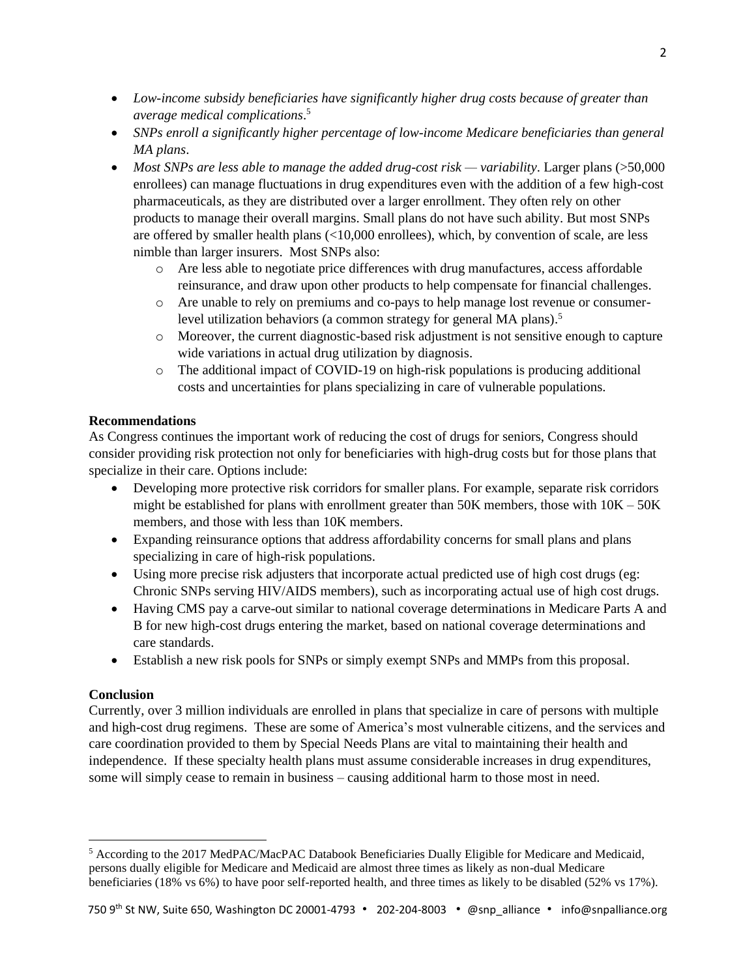- *Low-income subsidy beneficiaries have significantly higher drug costs because of greater than average medical complications*. 5
- *SNPs enroll a significantly higher percentage of low-income Medicare beneficiaries than general MA plans*.
- *Most SNPs are less able to manage the added drug-cost risk — variability*. Larger plans (>50,000 enrollees) can manage fluctuations in drug expenditures even with the addition of a few high-cost pharmaceuticals, as they are distributed over a larger enrollment. They often rely on other products to manage their overall margins. Small plans do not have such ability. But most SNPs are offered by smaller health plans (<10,000 enrollees), which, by convention of scale, are less nimble than larger insurers. Most SNPs also:
	- o Are less able to negotiate price differences with drug manufactures, access affordable reinsurance, and draw upon other products to help compensate for financial challenges.
	- o Are unable to rely on premiums and co-pays to help manage lost revenue or consumerlevel utilization behaviors (a common strategy for general MA plans). 5
	- o Moreover, the current diagnostic-based risk adjustment is not sensitive enough to capture wide variations in actual drug utilization by diagnosis.
	- $\circ$  The additional impact of COVID-19 on high-risk populations is producing additional costs and uncertainties for plans specializing in care of vulnerable populations.

#### **Recommendations**

As Congress continues the important work of reducing the cost of drugs for seniors, Congress should consider providing risk protection not only for beneficiaries with high-drug costs but for those plans that specialize in their care. Options include:

- Developing more protective risk corridors for smaller plans. For example, separate risk corridors might be established for plans with enrollment greater than 50K members, those with  $10K - 50K$ members, and those with less than 10K members.
- Expanding reinsurance options that address affordability concerns for small plans and plans specializing in care of high-risk populations.
- Using more precise risk adjusters that incorporate actual predicted use of high cost drugs (eg: Chronic SNPs serving HIV/AIDS members), such as incorporating actual use of high cost drugs.
- Having CMS pay a carve-out similar to national coverage determinations in Medicare Parts A and B for new high-cost drugs entering the market, based on national coverage determinations and care standards.
- Establish a new risk pools for SNPs or simply exempt SNPs and MMPs from this proposal.

#### **Conclusion**

Currently, over 3 million individuals are enrolled in plans that specialize in care of persons with multiple and high-cost drug regimens. These are some of America's most vulnerable citizens, and the services and care coordination provided to them by Special Needs Plans are vital to maintaining their health and independence. If these specialty health plans must assume considerable increases in drug expenditures, some will simply cease to remain in business – causing additional harm to those most in need.

<sup>5</sup> According to the 2017 MedPAC/MacPAC Databook Beneficiaries Dually Eligible for Medicare and Medicaid, persons dually eligible for Medicare and Medicaid are almost three times as likely as non-dual Medicare beneficiaries (18% vs 6%) to have poor self-reported health, and three times as likely to be disabled (52% vs 17%).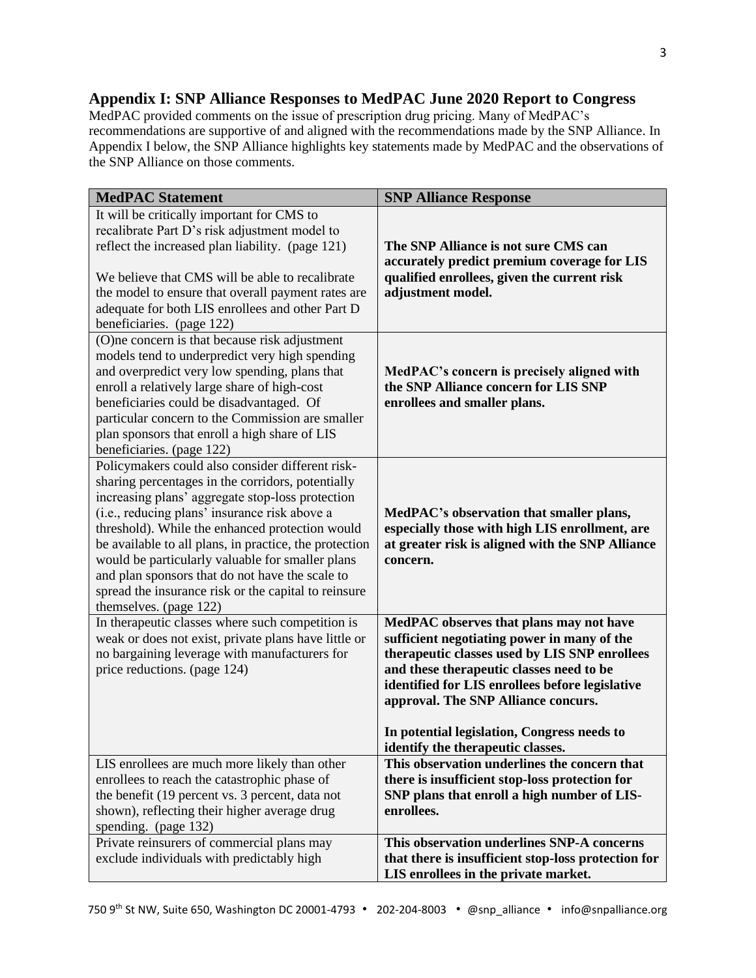### **Appendix I: SNP Alliance Responses to MedPAC June 2020 Report to Congress**

MedPAC provided comments on the issue of prescription drug pricing. Many of MedPAC's recommendations are supportive of and aligned with the recommendations made by the SNP Alliance. In Appendix I below, the SNP Alliance highlights key statements made by MedPAC and the observations of the SNP Alliance on those comments.

| <b>MedPAC Statement</b>                                                                                                                                                                                                                                                                                                                                                                                                                                                                                          | <b>SNP Alliance Response</b>                                                                                                                                                                                                                                                                                                                                      |
|------------------------------------------------------------------------------------------------------------------------------------------------------------------------------------------------------------------------------------------------------------------------------------------------------------------------------------------------------------------------------------------------------------------------------------------------------------------------------------------------------------------|-------------------------------------------------------------------------------------------------------------------------------------------------------------------------------------------------------------------------------------------------------------------------------------------------------------------------------------------------------------------|
| It will be critically important for CMS to<br>recalibrate Part D's risk adjustment model to<br>reflect the increased plan liability. (page 121)<br>We believe that CMS will be able to recalibrate<br>the model to ensure that overall payment rates are<br>adequate for both LIS enrollees and other Part D<br>beneficiaries. (page 122)                                                                                                                                                                        | The SNP Alliance is not sure CMS can<br>accurately predict premium coverage for LIS<br>qualified enrollees, given the current risk<br>adjustment model.                                                                                                                                                                                                           |
| (O)ne concern is that because risk adjustment<br>models tend to underpredict very high spending<br>and overpredict very low spending, plans that<br>enroll a relatively large share of high-cost<br>beneficiaries could be disadvantaged. Of<br>particular concern to the Commission are smaller<br>plan sponsors that enroll a high share of LIS<br>beneficiaries. (page 122)                                                                                                                                   | MedPAC's concern is precisely aligned with<br>the SNP Alliance concern for LIS SNP<br>enrollees and smaller plans.                                                                                                                                                                                                                                                |
| Policymakers could also consider different risk-<br>sharing percentages in the corridors, potentially<br>increasing plans' aggregate stop-loss protection<br>(i.e., reducing plans' insurance risk above a<br>threshold). While the enhanced protection would<br>be available to all plans, in practice, the protection<br>would be particularly valuable for smaller plans<br>and plan sponsors that do not have the scale to<br>spread the insurance risk or the capital to reinsure<br>themselves. (page 122) | MedPAC's observation that smaller plans,<br>especially those with high LIS enrollment, are<br>at greater risk is aligned with the SNP Alliance<br>concern.                                                                                                                                                                                                        |
| In therapeutic classes where such competition is<br>weak or does not exist, private plans have little or<br>no bargaining leverage with manufacturers for<br>price reductions. (page 124)                                                                                                                                                                                                                                                                                                                        | MedPAC observes that plans may not have<br>sufficient negotiating power in many of the<br>therapeutic classes used by LIS SNP enrollees<br>and these therapeutic classes need to be<br>identified for LIS enrollees before legislative<br>approval. The SNP Alliance concurs.<br>In potential legislation, Congress needs to<br>identify the therapeutic classes. |
| LIS enrollees are much more likely than other<br>enrollees to reach the catastrophic phase of<br>the benefit (19 percent vs. 3 percent, data not<br>shown), reflecting their higher average drug<br>spending. (page 132)                                                                                                                                                                                                                                                                                         | This observation underlines the concern that<br>there is insufficient stop-loss protection for<br>SNP plans that enroll a high number of LIS-<br>enrollees.                                                                                                                                                                                                       |
| Private reinsurers of commercial plans may<br>exclude individuals with predictably high                                                                                                                                                                                                                                                                                                                                                                                                                          | This observation underlines SNP-A concerns<br>that there is insufficient stop-loss protection for<br>LIS enrollees in the private market.                                                                                                                                                                                                                         |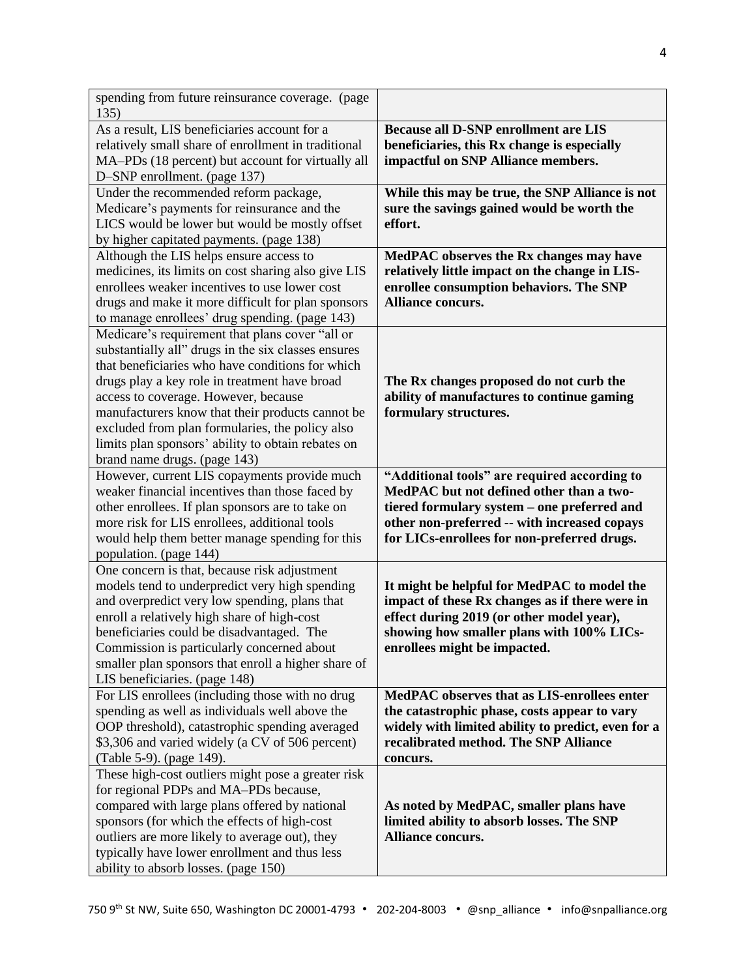| spending from future reinsurance coverage. (page<br>135)                                                                                                                                                                                                                                                                                                                                                                                         |                                                                                                                                                                                                                                        |
|--------------------------------------------------------------------------------------------------------------------------------------------------------------------------------------------------------------------------------------------------------------------------------------------------------------------------------------------------------------------------------------------------------------------------------------------------|----------------------------------------------------------------------------------------------------------------------------------------------------------------------------------------------------------------------------------------|
| As a result, LIS beneficiaries account for a<br>relatively small share of enrollment in traditional<br>MA-PDs (18 percent) but account for virtually all<br>D-SNP enrollment. (page 137)                                                                                                                                                                                                                                                         | <b>Because all D-SNP enrollment are LIS</b><br>beneficiaries, this Rx change is especially<br>impactful on SNP Alliance members.                                                                                                       |
| Under the recommended reform package,<br>Medicare's payments for reinsurance and the<br>LICS would be lower but would be mostly offset<br>by higher capitated payments. (page 138)                                                                                                                                                                                                                                                               | While this may be true, the SNP Alliance is not<br>sure the savings gained would be worth the<br>effort.                                                                                                                               |
| Although the LIS helps ensure access to<br>medicines, its limits on cost sharing also give LIS<br>enrollees weaker incentives to use lower cost<br>drugs and make it more difficult for plan sponsors<br>to manage enrollees' drug spending. (page 143)                                                                                                                                                                                          | MedPAC observes the Rx changes may have<br>relatively little impact on the change in LIS-<br>enrollee consumption behaviors. The SNP<br>Alliance concurs.                                                                              |
| Medicare's requirement that plans cover "all or<br>substantially all" drugs in the six classes ensures<br>that beneficiaries who have conditions for which<br>drugs play a key role in treatment have broad<br>access to coverage. However, because<br>manufacturers know that their products cannot be<br>excluded from plan formularies, the policy also<br>limits plan sponsors' ability to obtain rebates on<br>brand name drugs. (page 143) | The Rx changes proposed do not curb the<br>ability of manufactures to continue gaming<br>formulary structures.                                                                                                                         |
| However, current LIS copayments provide much<br>weaker financial incentives than those faced by<br>other enrollees. If plan sponsors are to take on<br>more risk for LIS enrollees, additional tools<br>would help them better manage spending for this<br>population. (page 144)                                                                                                                                                                | "Additional tools" are required according to<br>MedPAC but not defined other than a two-<br>tiered formulary system - one preferred and<br>other non-preferred -- with increased copays<br>for LICs-enrollees for non-preferred drugs. |
| One concern is that, because risk adjustment<br>models tend to underpredict very high spending<br>and overpredict very low spending, plans that<br>enroll a relatively high share of high-cost<br>beneficiaries could be disadvantaged. The<br>Commission is particularly concerned about<br>smaller plan sponsors that enroll a higher share of<br>LIS beneficiaries. (page 148)                                                                | It might be helpful for MedPAC to model the<br>impact of these Rx changes as if there were in<br>effect during 2019 (or other model year),<br>showing how smaller plans with 100% LICs-<br>enrollees might be impacted.                |
| For LIS enrollees (including those with no drug<br>spending as well as individuals well above the<br>OOP threshold), catastrophic spending averaged<br>\$3,306 and varied widely (a CV of 506 percent)<br>(Table 5-9). (page 149).                                                                                                                                                                                                               | MedPAC observes that as LIS-enrollees enter<br>the catastrophic phase, costs appear to vary<br>widely with limited ability to predict, even for a<br>recalibrated method. The SNP Alliance<br>concurs.                                 |
| These high-cost outliers might pose a greater risk<br>for regional PDPs and MA-PDs because,<br>compared with large plans offered by national<br>sponsors (for which the effects of high-cost<br>outliers are more likely to average out), they<br>typically have lower enrollment and thus less<br>ability to absorb losses. (page 150)                                                                                                          | As noted by MedPAC, smaller plans have<br>limited ability to absorb losses. The SNP<br>Alliance concurs.                                                                                                                               |